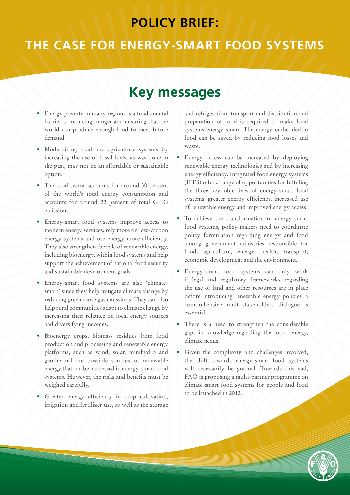# **POLICY BRIEF:**

# **THE CASE FOR ENERGY-SMART FOOD SYSTEMS**

# **Key messages**

- Energy poverty in many regions is a fundamental barrier to reducing hunger and ensuring that the world can produce enough food to meet future demand.
- Modernizing food and agriculture systems by increasing the use of fossil fuels, as was done in the past, may not be an affordable or sustainable option.
- The food sector accounts for around 30 percent of the world's total energy consumption and accounts for around 22 percent of total GHG emissions.
- Energy-smart food systems improve access to modern energy services, rely more on low-carbon energy systems and use energy more efficiently. They also strengthen the role of renewable energy, including bioenergy, within food systems and help support the achievement of national food security and sustainable development goals.
- Energy-smart food systems are also 'climatesmart' since they help mitigate climate change by reducing greenhouse gas emissions. They can also help rural communities adapt to climate change by increasing their reliance on local energy sources and diversifying incomes.
- Bioenergy crops, biomass residues from food production and processing and renewable energy platforms, such as wind, solar, minihydro and geothermal are possible sources of renewable energy that can be harnessed in energy-smart food systems. However, the risks and benefits must be weighed carefully.
- Greater energy efficiency in crop cultivation, irrigation and fertilizer use, as well as the storage

and refrigeration, transport and distribution and preparation of food is required to make food systems energy-smart. The energy embedded in food can be saved by reducing food losses and waste.

- Energy access can be increased by deploying renewable energy technologies and by increasing energy efficiency. Integrated food energy systems (IFES) offer a range of opportunities for fulfilling the three key objectives of energy-smart food systems: greater energy efficiency, increased use of renewable energy and improved energy access.
- To achieve the transformation to energy-smart food systems, policy-makers need to coordinate policy formulation regarding energy and food among government ministries responsible for food, agriculture, energy, health, transport; economic development and the environment.
- • Energy-smart food systems can only work if legal and regulatory frameworks regarding the use of land and other resources are in place before introducing renewable energy policies; a comprehensive multi-stakeholders dialogue is essential.
- There is a need to strengthen the considerable gaps in knowledge regarding the food, energy, climate nexus.
- • Given the complexity and challenges involved, the shift towards energy-smart food systems will necessarily be gradual. Towards this end, FAO is proposing a multi-partner programme on climate-smart food systems for people and food to be launched in 2012.

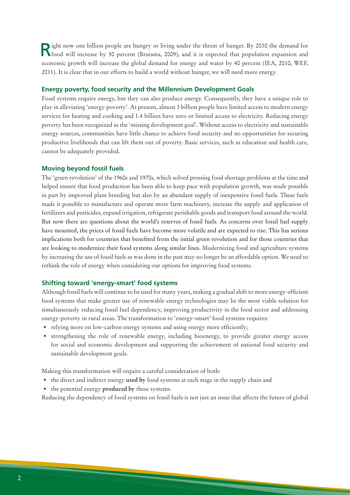Right now one billion people are hungry or living under the threat of hunger. By 2030 the demand for **Riford will increase by 50 percent** (Bruisma, 2009), and it is expected that population expansion and economic growth will increase the global demand for energy and water by 40 percent (IEA, 2010, WEF, 2011). It is clear that in our efforts to build a world without hunger, we will need more energy.

#### **Energy poverty, food security and the Millennium Development Goals**

Food systems require energy, but they can also produce energy. Consequently, they have a unique role to play in alleviating 'energy poverty'. At present, almost 3 billion people have limited access to modern energy services for heating and cooking and 1.4 billion have zero or limited access to electricity. Reducing energy poverty has been recognized as the 'missing development goal'. Without access to electricity and sustainable energy sources, communities have little chance to achieve food security and no opportunities for securing productive livelihoods that can lift them out of poverty. Basic services, such as education and health care, cannot be adequately provided.

#### **Moving beyond fossil fuels**

The 'green revolution' of the 1960s and 1970s, which solved pressing food shortage problems at the time and helped ensure that food production has been able to keep pace with population growth, was made possible in part by improved plant breeding but also by an abundant supply of inexpensive fossil fuels. These fuels made it possible to manufacture and operate more farm machinery, increase the supply and application of fertilizers and pesticides, expand irrigation, refrigerate perishable goods and transport food around the world. But now there are questions about the world's reserves of fossil fuels. As concerns over fossil fuel supply have mounted, the prices of fossil fuels have become more volatile and are expected to rise. This has serious implications both for countries that benefited from the initial green revolution and for those countries that are looking to modernize their food systems along similar lines. Modernizing food and agriculture systems by increasing the use of fossil fuels as was done in the past may no longer be an affordable option. We need to rethink the role of energy when considering our options for improving food systems.

#### **Shifting toward 'energy-smart' food systems**

Although fossil fuels will continue to be used for many years, making a gradual shift to more energy-efficient food systems that make greater use of renewable energy technologies may be the most viable solution for simultaneously reducing fossil fuel dependency, improving productivity in the food sector and addressing energy-poverty in rural areas. The transformation to 'energy-smart' food systems requires:

- relying more on low-carbon energy systems and using energy more efficiently;
- strengthening the role of renewable energy, including bioenergy, to provide greater energy access for social and economic development and supporting the achievement of national food security and sustainable development goals.

Making this transformation will require a careful consideration of both:

- • the direct and indirect energy **used by** food systems at each stage in the supply chain and
- • the potential energy **produced by** these systems.

Reducing the dependency of food systems on fossil fuels is not just an issue that affects the future of global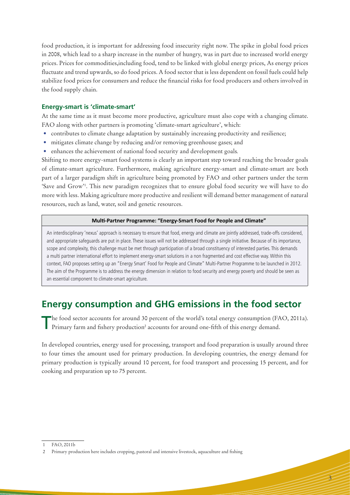food production, it is important for addressing food insecurity right now. The spike in global food prices in 2008, which lead to a sharp increase in the number of hungry, was in part due to increased world energy prices. Prices for commodities,including food, tend to be linked with global energy prices, As energy prices fluctuate and trend upwards, so do food prices. A food sector that is less dependent on fossil fuels could help stabilize food prices for consumers and reduce the financial risks for food producers and others involved in the food supply chain.

#### **Energy-smart is 'climate-smart'**

At the same time as it must become more productive, agriculture must also cope with a changing climate. FAO along with other partners is promoting 'climate-smart agriculture', which:

- contributes to climate change adaptation by sustainably increasing productivity and resilience;
- mitigates climate change by reducing and/or removing greenhouse gases; and
- enhances the achievement of national food security and development goals.

Shifting to more energy-smart food systems is clearly an important step toward reaching the broader goals of climate-smart agriculture. Furthermore, making agriculture energy-smart and climate-smart are both part of a larger paradigm shift in agriculture being promoted by FAO and other partners under the term 'Save and Grow'1 . This new paradigm recognizes that to ensure global food security we will have to do more with less. Making agriculture more productive and resilient will demand better management of natural resources, such as land, water, soil and genetic resources.

#### **Multi-Partner Programme: "Energy-Smart Food for People and Climate"**

An interdisciplinary 'nexus' approach is necessary to ensure that food, energy and climate are jointly addressed, trade-offs considered, and appropriate safeguards are put in place. These issues will not be addressed through a single initiative. Because of its importance, scope and complexity, this challenge must be met through participation of a broad constituency of interested parties. This demands a multi partner international effort to implement energy-smart solutions in a non fragmented and cost effective way. Within this context, FAO proposes setting up an "Energy Smart' Food for People and Climate" Multi-Partner Programme to be launched in 2012. The aim of the Programme is to address the energy dimension in relation to food security and energy poverty and should be seen as an essential component to climate-smart agriculture.

# **Energy consumption and GHG emissions in the food sector**

The food sector accounts for around 30 percent of the world's total energy consumption (FAO, 2011a). Primary farm and fishery production<sup>2</sup> accounts for around one-fifth of this energy demand.

In developed countries, energy used for processing, transport and food preparation is usually around three to four times the amount used for primary production. In developing countries, the energy demand for primary production is typically around 10 percent, for food transport and processing 15 percent, and for cooking and preparation up to 75 percent.

3

<sup>1</sup> FAO, 2011b

<sup>2</sup> Primary production here includes cropping, pastoral and intensive livestock, aquaculture and fishing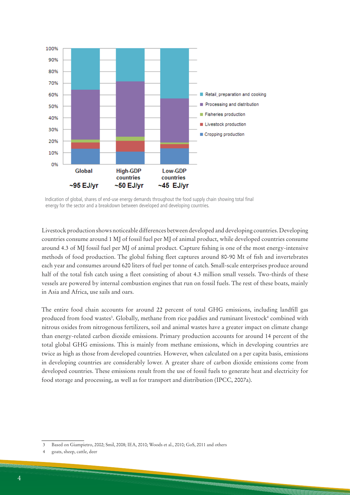

Indication of global, shares of end-use energy demands throughout the food supply chain showing total final energy for the sector and a breakdown between developed and developing countries.

Livestock production shows noticeable differences between developed and developing countries. Developing countries consume around 1 MJ of fossil fuel per MJ of animal product, while developed countries consume around 4.3 of MJ fossil fuel per MJ of animal product. Capture fishing is one of the most energy-intensive methods of food production. The global fishing fleet captures around 80-90 Mt of fish and invertebrates each year and consumes around 620 liters of fuel per tonne of catch. Small-scale enterprises produce around half of the total fish catch using a fleet consisting of about 4.3 million small vessels. Two-thirds of these vessels are powered by internal combustion engines that run on fossil fuels. The rest of these boats, mainly in Asia and Africa, use sails and oars.

The entire food chain accounts for around 22 percent of total GHG emissions, including landfill gas produced from food wastes<sup>3</sup>. Globally, methane from rice paddies and ruminant livestock<sup>4</sup> combined with nitrous oxides from nitrogenous fertilizers, soil and animal wastes have a greater impact on climate change than energy-related carbon dioxide emissions. Primary production accounts for around 14 percent of the total global GHG emissions. This is mainly from methane emissions, which in developing countries are twice as high as those from developed countries. However, when calculated on a per capita basis, emissions in developing countries are considerably lower. A greater share of carbon dioxide emissions come from developed countries. These emissions result from the use of fossil fuels to generate heat and electricity for food storage and processing, as well as for transport and distribution (IPCC, 2007a).

<sup>3</sup> Based on Giampietro, 2002; Smil, 2008; IEA, 2010; Woods et al., 2010; GoS, 2011 and others

<sup>4</sup> goats, sheep, cattle, deer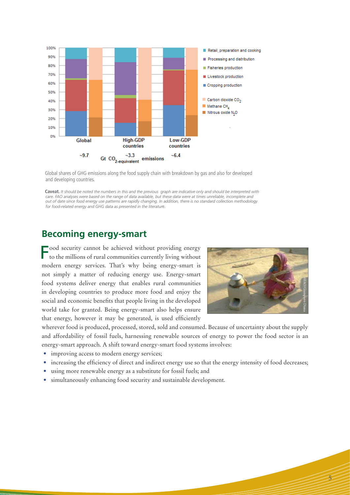

Global shares of GHG emissions along the food supply chain with breakdown by gas and also for developed and developing countries.

Caveat. It should be noted the numbers in this and the previous graph are indicative only and should be interpreted with<br>care. FAO analyses were based on the range of data available, but these data were at times unreliable *out of date since food energy use patterns are rapidly changing. In addition, there is no standard collection methodology for food-related energy and GHG data as presented in the literatur*e.

## **Becoming energy-smart**

Food security cannot be achieved without providing energy to the millions of rural communities currently living without modern energy services. That's why being energy-smart is not simply a matter of reducing energy use. Energy-smart food systems deliver energy that enables rural communities in developing countries to produce more food and enjoy the social and economic benefits that people living in the developed world take for granted. Being energy-smart also helps ensure that energy, however it may be generated, is used efficiently



5

wherever food is produced, processed, stored, sold and consumed. Because of uncertainty about the supply and affordability of fossil fuels, harnessing renewable sources of energy to power the food sector is an energy-smart approach. A shift toward energy-smart food systems involves:

- improving access to modern energy services;
- increasing the efficiency of direct and indirect energy use so that the energy intensity of food decreases;
- using more renewable energy as a substitute for fossil fuels; and
- • simultaneously enhancing food security and sustainable development.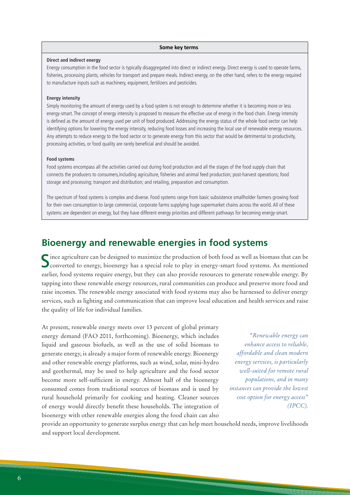#### **Some key terms**

#### **Direct and indirect energy**

Energy consumption in the food sector is typically disaggregated into direct or indirect energy. Direct energy is used to operate farms, fisheries, processing plants, vehicles for transport and prepare meals. Indirect energy, on the other hand, refers to the energy required to manufacture inputs such as machinery, equipment, fertilizers and pesticides.

#### **Energy intensity**

Simply monitoring the amount of energy used by a food system is not enough to determine whether it is becoming more or less energy-smart. The concept of energy intensity is proposed to measure the effective use of energy in the food chain. Energy intensity is defined as the amount of energy used per unit of food produced. Addressing the energy status of the whole food sector can help identifying options for lowering the energy intensity, reducing food losses and increasing the local use of renewable energy resources. Any attempts to reduce energy to the food sector or to generate energy from this sector that would be detrimental to productivity, processing activities, or food quality are rarely beneficial and should be avoided.

#### **Food systems**

Food systems encompass all the activities carried out during food production and all the stages of the food supply chain that connects the producers to consumers,including agriculture, fisheries and animal feed production; post-harvest operations; food storage and processing; transport and distribution; and retailing, preparation and consumption.

The spectrum of food systems is complex and diverse. Food systems range from basic subsistence smallholder farmers growing food for their own consumption to large commercial, corporate farms supplying huge supermarket chains across the world. All of these systems are dependent on energy, but they have different energy priorities and different pathways for becoming energy-smart.

### **Bioenergy and renewable energies in food systems**

 $\Gamma$  ince agriculture can be designed to maximize the production of both food as well as biomass that can be **Converted to energy, bioenergy has a special role to play in energy-smart food systems.** As mentioned earlier, food systems require energy, but they can also provide resources to generate renewable energy. By tapping into these renewable energy resources, rural communities can produce and preserve more food and raise incomes. The renewable energy associated with food systems may also be harnessed to deliver energy services, such as lighting and communication that can improve local education and health services and raise the quality of life for individual families.

At present, renewable energy meets over 13 percent of global primary energy demand (FAO 2011, forthcoming). Bioenergy, which includes liquid and gaseous biofuels, as well as the use of solid biomass to generate energy, is already a major form of renewable energy. Bioenergy and other renewable energy platforms, such as wind, solar, mini-hydro and geothermal, may be used to help agriculture and the food sector become more self-sufficient in energy. Almost half of the bioenergy consumed comes from traditional sources of biomass and is used by rural household primarily for cooking and heating. Cleaner sources of energy would directly benefit these households. The integration of bioenergy with other renewable energies along the food chain can also

*"Renewable energy can enhance access to reliable, affordable and clean modern energy services, is particularly well-suited for remote rural populations, and in many instances can provide the lowest cost option for energy access" (IPCC).*

provide an opportunity to generate surplus energy that can help meet household needs, improve livelihoods and support local development.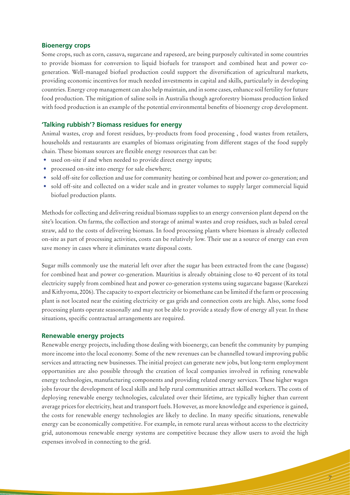#### **Bioenergy crops**

Some crops, such as corn, cassava, sugarcane and rapeseed, are being purposely cultivated in some countries to provide biomass for conversion to liquid biofuels for transport and combined heat and power cogeneration. Well-managed biofuel production could support the diversification of agricultural markets, providing economic incentives for much needed investments in capital and skills, particularly in developing countries. Energy crop management can also help maintain, and in some cases, enhance soil fertility for future food production. The mitigation of saline soils in Australia though agroforestry biomass production linked with food production is an example of the potential environmental benefits of bioenergy crop development.

#### **'Talking rubbish'? Biomass residues for energy**

Animal wastes, crop and forest residues, by-products from food processing , food wastes from retailers, households and restaurants are examples of biomass originating from different stages of the food supply chain. These biomass sources are flexible energy resources that can be:

- used on-site if and when needed to provide direct energy inputs;
- processed on-site into energy for sale elsewhere;
- sold off-site for collection and use for community heating or combined heat and power co-generation; and
- sold off-site and collected on a wider scale and in greater volumes to supply larger commercial liquid biofuel production plants.

Methods for collecting and delivering residual biomass supplies to an energy conversion plant depend on the site's location. On farms, the collection and storage of animal wastes and crop residues, such as baled cereal straw, add to the costs of delivering biomass. In food processing plants where biomass is already collected on-site as part of processing activities, costs can be relatively low. Their use as a source of energy can even save money in cases where it eliminates waste disposal costs.

Sugar mills commonly use the material left over after the sugar has been extracted from the cane (bagasse) for combined heat and power co-generation. Mauritius is already obtaining close to 40 percent of its total electricity supply from combined heat and power co-generation systems using sugarcane bagasse (Karekezi and Kithyoma, 2006). The capacity to export electricity or biomethane can be limited if the farm or processing plant is not located near the existing electricity or gas grids and connection costs are high. Also, some food processing plants operate seasonally and may not be able to provide a steady flow of energy all year. In these situations, specific contractual arrangements are required.

#### **Renewable energy projects**

Renewable energy projects, including those dealing with bioenergy, can benefit the community by pumping more income into the local economy. Some of the new revenues can be channelled toward improving public services and attracting new businesses. The initial project can generate new jobs, but long-term employment opportunities are also possible through the creation of local companies involved in refining renewable energy technologies, manufacturing components and providing related energy services. These higher wages jobs favour the development of local skills and help rural communities attract skilled workers. The costs of deploying renewable energy technologies, calculated over their lifetime, are typically higher than current average prices for electricity, heat and transport fuels. However, as more knowledge and experience is gained, the costs for renewable energy technologies are likely to decline. In many specific situations, renewable energy can be economically competitive. For example, in remote rural areas without access to the electricity grid, autonomous renewable energy systems are competitive because they allow users to avoid the high expenses involved in connecting to the grid.

7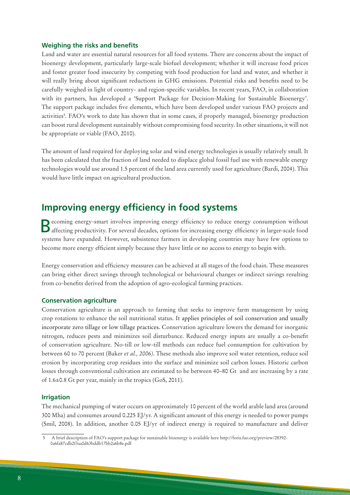#### **Weighing the risks and benefits**

Land and water are essential natural resources for all food systems. There are concerns about the impact of bioenergy development, particularly large-scale biofuel development; whether it will increase food prices and foster greater food insecurity by competing with food production for land and water, and whether it will really bring about significant reductions in GHG emissions. Potential risks and benefits need to be carefully weighed in light of country- and region-specific variables. In recent years, FAO, in collaboration with its partners, has developed a 'Support Package for Decision-Making for Sustainable Bioenergy'. The support package includes five elements, which have been developed under various FAO projects and activities<sup>5</sup>. FAO's work to date has shown that in some cases, if properly managed, bioenergy production can boost rural development sustainably without compromising food security. In other situations, it will not be appropriate or viable (FAO, 2010).

The amount of land required for deploying solar and wind energy technologies is usually relatively small. It has been calculated that the fraction of land needed to displace global fossil fuel use with renewable energy technologies would use around 1.5 percent of the land area currently used for agriculture (Bardi, 2004). This would have little impact on agricultural production.

# **Improving energy efficiency in food systems**

Becoming energy-smart involves improving energy efficiency to reduce energy consumption without affecting productivity. For several decades, options for increasing energy efficiency in larger-scale food systems have expanded. However, subsistence farmers in developing countries may have few options to become more energy efficient simply because they have little or no access to energy to begin with.

Energy conservation and efficiency measures can be achieved at all stages of the food chain. These measures can bring either direct savings through technological or behavioural changes or indirect savings resulting from co-benefits derived from the adoption of agro-ecological farming practices.

#### **Conservation agriculture**

Conservation agriculture is an approach to farming that seeks to improve farm management by using crop rotations to enhance the soil nutritional status. It applies principles of soil conservation and usually incorporate zero tillage or low tillage practices. Conservation agriculture lowers the demand for inorganic nitrogen, reduces pests and minimizes soil disturbance. Reduced energy inputs are usually a co-benefit of conservation agriculture. No-till or low-till methods can reduce fuel consumption for cultivation by between 60 to 70 percent (Baker *et al., 2006)*. These methods also improve soil water retention, reduce soil erosion by incorporating crop residues into the surface and minimize soil carbon losses. Historic carbon losses through conventional cultivation are estimated to be between 40–80 Gt and are increasing by a rate of 1.6±0.8 Gt per year, mainly in the tropics (GoS, 2011).

#### **Irrigation**

The mechanical pumping of water occurs on approximately 10 percent of the world arable land area (around 300 Mha) and consumes around 0.225 EJ/yr. A significant amount of this energy is needed to power pumps (Smil, 2008). In addition, another 0.05 EJ/yr of indirect energy is required to manufacture and deliver

<sup>5</sup> A brief description of FAO's support package for sustainable bioenergy is available here http://foris.fao.org/preview/28392- 0a6fa87cdb2f3aa0d63bddb17bb2a6b8e.pdf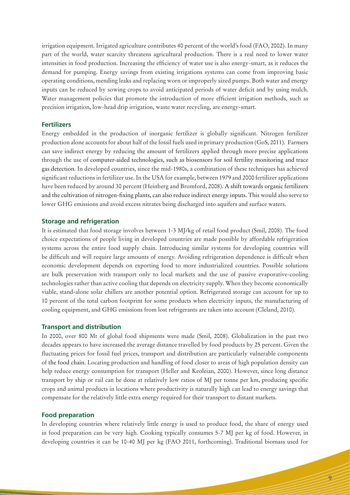irrigation equipment. Irrigated agriculture contributes 40 percent of the world's food (FAO, 2002). In many part of the world, water scarcity threatens agricultural production. There is a real need to lower water intensities in food production. Increasing the efficiency of water use is also energy-smart, as it reduces the demand for pumping. Energy savings from existing irrigations systems can come from improving basic operating conditions, mending leaks and replacing worn or improperly sized pumps. Both water and energy inputs can be reduced by sowing crops to avoid anticipated periods of water deficit and by using mulch. Water management policies that promote the introduction of more efficient irrigation methods, such as precision irrigation, low-head drip irrigation, waste water recycling, are energy-smart.

#### **Fertilizers**

Energy embedded in the production of inorganic fertilizer is globally significant. Nitrogen fertilizer production alone accounts for about half of the fossil fuels used in primary production (GoS, 2011). Farmers can save indirect energy by reducing the amount of fertilizers applied through more precise applications through the use of computer-aided technologies, such as biosensors for soil fertility monitoring and trace gas detection. In developed countries, since the mid-1980s, a combination of these techniques has achieved significant reductions in fertilizer use. In the USA for example, between 1979 and 2000 fertilizer applications have been reduced by around 30 percent (Heinberg and Bromford, 2008). A shift towards organic fertilizers and the cultivation of nitrogen-fixing plants, can also reduce indirect energy inputs. This would also serve to lower GHG emissions and avoid excess nitrates being discharged into aquifers and surface waters.

#### **Storage and refrigeration**

It is estimated that food storage involves between 1-3 MJ/kg of retail food product (Smil, 2008). The food choice expectations of people living in developed countries are made possible by affordable refrigeration systems across the entire food supply chain. Introducing similar systems for developing countries will be difficult and will require large amounts of energy. Avoiding refrigeration dependence is difficult when economic development depends on exporting food to more industrialized countries. Possible solutions are bulk preservation with transport only to local markets and the use of passive evaporative-cooling technologies rather than active cooling that depends on electricity supply. When they become economically viable, stand-alone solar chillers are another potential option. Refrigerated storage can account for up to 10 percent of the total carbon footprint for some products when electricity inputs, the manufacturing of cooling equipment, and GHG emissions from lost refrigerants are taken into account (Cleland, 2010).

#### **Transport and distribution**

In 2000, over 800 Mt of global food shipments were made (Smil, 2008). Globalization in the past two decades appears to have increased the average distance travelled by food products by 25 percent. Given the fluctuating prices for fossil fuel prices, transport and distribution are particularly vulnerable components of the food chain. Locating production and handling of food closer to areas of high population density can help reduce energy consumption for transport (Heller and Keoleian, 2000). However, since long distance transport by ship or rail can be done at relatively low ratios of MJ per tonne per km, producing specific crops and animal products in locations where productivity is naturally high can lead to energy savings that compensate for the relatively little extra energy required for their transport to distant markets.

#### **Food preparation**

In developing countries where relatively little energy is used to produce food, the share of energy used in food preparation can be very high. Cooking typically consumes 5-7 MJ per kg of food. However, in developing countries it can be 10-40 MJ per kg (FAO 2011, forthcoming). Traditional biomass used for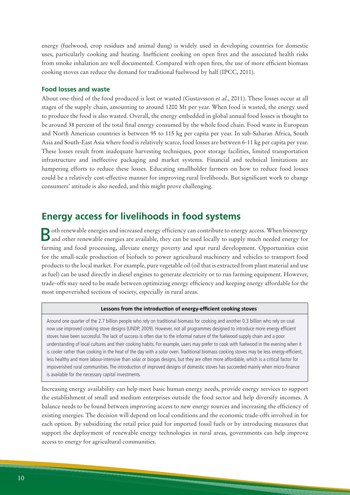energy (fuelwood, crop residues and animal dung) is widely used in developing countries for domestic uses, particularly cooking and heating. Inefficient cooking on open fires and the associated health risks from smoke inhalation are well documented. Compared with open fires, the use of more efficient biomass cooking stoves can reduce the demand for traditional fuelwood by half (IPCC, 2011).

#### **Food losses and waste**

About one-third of the food produced is lost or wasted (Gustavsson *et al*., 2011). These losses occur at all stages of the supply chain, amounting to around 1200 Mt per year. When food is wasted, the energy used to produce the food is also wasted. Overall, the energy embedded in global annual food losses is thought to be around 38 percent of the total final energy consumed by the whole food chain. Food waste in European and North American countries is between 95 to 115 kg per capita per year. In sub-Saharan Africa, South Asia and South-East Asia where food is relatively scarce, food losses are between 6-11 kg per capita per year. These losses result from inadequate harvesting techniques, poor storage facilities, limited transportation infrastructure and ineffective packaging and market systems. Financial and technical limitations are hampering efforts to reduce these losses. Educating smallholder farmers on how to reduce food losses could be a relatively cost-effective manner for improving rural livelihoods. But significant work to change consumers' attitude is also needed, and this might prove challenging.

# **Energy access for livelihoods in food systems**

Both renewable energies and increased energy efficiency can contribute to energy access. When bioenergy and other renewable energies are available, they can be used locally to supply much needed energy for farming and food processing, alleviate energy poverty and spur rural development. Opportunities exist for the small-scale production of biofuels to power agricultural machinery and vehicles to transport food products to the local market. For example, pure vegetable oil (oil that is extracted from plant material and use as fuel) can be used directly in diesel engines to generate electricity or to run farming equipment. However, trade-offs may need to be made between optimizing energy efficiency and keeping energy affordable for the most impoverished sections of society, especially in rural areas.

#### **Lessons from the introduction of energy-efficient cooking stoves**

Around one quarter of the 2.7 billion people who rely on traditional biomass for cooking and another 0.3 billion who rely on coal now use improved cooking stove designs (UNDP, 2009). However, not all programmes designed to introduce more energy efficient stoves have been successful. The lack of success is often due to the informal nature of the fuelwood supply chain and a poor understanding of local cultures and their cooking habits. For example, users may prefer to cook with fuelwood in the evening when it is cooler rather than cooking in the heat of the day with a solar oven. Traditional biomass cooking stoves may be less energy-efficient, less healthy and more labour-intensive than solar or biogas designs, but they are often more affordable, which is a critical factor for impoverished rural communities. The introduction of improved designs of domestic stoves has succeeded mainly when micro-finance is available for the necessary capital investments.

Increasing energy availability can help meet basic human energy needs, provide energy services to support the establishment of small and medium enterprises outside the food sector and help diversify incomes. A balance needs to be found between improving access to new energy sources and increasing the efficiency of existing energies. The decision will depend on local conditions and the economic trade-offs involved in for each option. By subsidizing the retail price paid for imported fossil fuels or by introducing measures that support the deployment of renewable energy technologies in rural areas, governments can help improve access to energy for agricultural communities.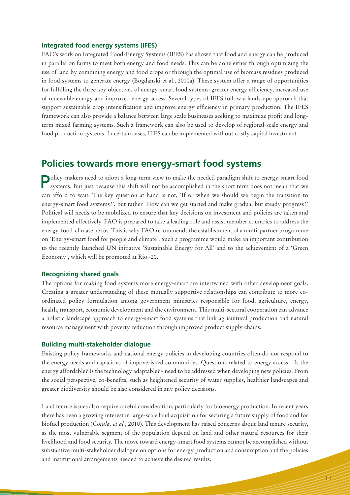#### **Integrated food energy systems (IFES)**

FAO's work on Integrated Food-Energy Systems (IFES) has shown that food and energy can be produced in parallel on farms to meet both energy and food needs. This can be done either through optimizing the use of land by combining energy and food crops or through the optimal use of biomass residues produced in food systems to generate energy (Bogdanski et al., 2010a). These system offer a range of opportunities for fulfilling the three key objectives of energy-smart food systems: greater energy efficiency, increased use of renewable energy and improved energy access. Several types of IFES follow a landscape approach that support sustainable crop intensification and improve energy efficiency in primary production. The IFES framework can also provide a balance between large scale businesses seeking to maximize profit and longterm mixed farming systems. Such a framework can also be used to develop of regional-scale energy and food production systems. In certain cases, IFES can be implemented without costly capital investment.

## **Policies towards more energy-smart food systems**

Policy-makers need to adopt a long-term view to make the needed paradigm shift to energy-smart food systems. But just because this shift will not be accomplished in the short term does not mean that we can afford to wait. The key question at hand is not, 'If or when we should we begin the transition to energy-smart food systems?', but rather 'How can we get started and make gradual but steady progress?' Political will needs to be mobilized to ensure that key decisions on investment and policies are taken and implemented effectively. FAO is prepared to take a leading role and assist member countries to address the energy-food-climate nexus. This is why FAO recommends the establishment of a multi-partner programme on 'Energy-smart food for people and climate'. Such a programme would make an important contribution to the recently launched UN initiative 'Sustainable Energy for All' and to the achievement of a 'Green Economy', which will be promoted at Rio+20.

#### **Recognizing shared goals**

The options for making food systems more energy-smart are intertwined with other development goals. Creating a greater understanding of these mutually supportive relationships can contribute to more coordinated policy formulation among government ministries responsible for food, agriculture, energy, health, transport, economic development and the environment. This multi-sectoral cooperation can advance a holistic landscape approach to energy-smart food systems that link agricultural production and natural resource management with poverty reduction through improved product supply chains.

#### **Building multi-stakeholder dialogue**

Existing policy frameworks and national energy policies in developing countries often do not respond to the energy needs and capacities of impoverished communities. Questions related to energy access - Is the energy affordable? Is the technology adaptable? - need to be addressed when developing new policies. From the social perspective, co-benefits, such as heightened security of water supplies, healthier landscapes and greater biodiversity should be also considered in any policy decisions.

Land tenure issues also require careful consideration, particularly for bioenergy production. In recent years there has been a growing interest in large-scale land acquisition for securing a future supply of food and for biofuel production (*Cotula, et al.*, 2010). This development has raised concerns about land tenure security, as the most vulnerable segment of the population depend on land and other natural resources for their livelihood and food security. The move toward energy-smart food systems cannot be accomplished without substantive multi-stakeholder dialogue on options for energy production and consumption and the policies and institutional arrangements needed to achieve the desired results.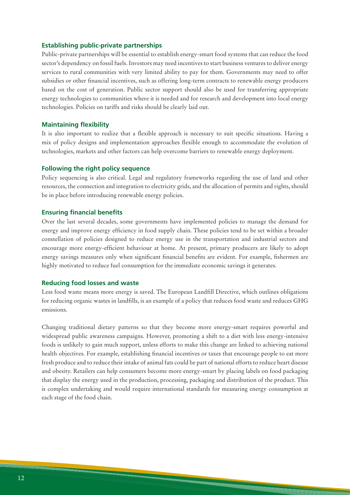#### **Establishing public-private partnerships**

Public-private partnerships will be essential to establish energy-smart food systems that can reduce the food sector's dependency on fossil fuels. Investors may need incentives to start business ventures to deliver energy services to rural communities with very limited ability to pay for them. Governments may need to offer subsidies or other financial incentives, such as offering long-term contracts to renewable energy producers based on the cost of generation. Public sector support should also be used for transferring appropriate energy technologies to communities where it is needed and for research and development into local energy technologies. Policies on tariffs and risks should be clearly laid out.

#### **Maintaining flexibility**

It is also important to realize that a flexible approach is necessary to suit specific situations. Having a mix of policy designs and implementation approaches flexible enough to accommodate the evolution of technologies, markets and other factors can help overcome barriers to renewable energy deployment.

#### **Following the right policy sequence**

Policy sequencing is also critical. Legal and regulatory frameworks regarding the use of land and other resources, the connection and integration to electricity grids, and the allocation of permits and rights, should be in place before introducing renewable energy policies.

#### **Ensuring financial benefits**

Over the last several decades, some governments have implemented policies to manage the demand for energy and improve energy efficiency in food supply chain. These policies tend to be set within a broader constellation of policies designed to reduce energy use in the transportation and industrial sectors and encourage more energy-efficient behaviour at home. At present, primary producers are likely to adopt energy savings measures only when significant financial benefits are evident. For example, fishermen are highly motivated to reduce fuel consumption for the immediate economic savings it generates.

#### **Reducing food losses and waste**

Less food waste means more energy is saved. The European Landfill Directive, which outlines obligations for reducing organic wastes in landfills, is an example of a policy that reduces food waste and reduces GHG emissions.

Changing traditional dietary patterns so that they become more energy-smart requires powerful and widespread public awareness campaigns. However, promoting a shift to a diet with less energy-intensive foods is unlikely to gain much support, unless efforts to make this change are linked to achieving national health objectives. For example, establishing financial incentives or taxes that encourage people to eat more fresh produce and to reduce their intake of animal fats could be part of national efforts to reduce heart disease and obesity. Retailers can help consumers become more energy-smart by placing labels on food packaging that display the energy used in the production, processing, packaging and distribution of the product. This is complex undertaking and would require international standards for measuring energy consumption at each stage of the food chain.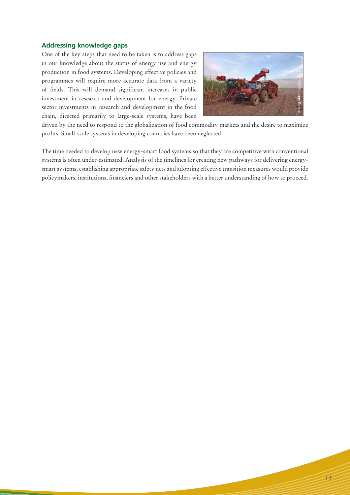#### **Addressing knowledge gaps**

One of the key steps that need to be taken is to address gaps in our knowledge about the status of energy use and energy production in food systems. Developing effective policies and programmes will require more accurate data from a variety of fields. This will demand significant increases in public investment in research and development for energy. Private sector investments in research and development in the food chain, directed primarily to large-scale systems, have been



driven by the need to respond to the globalization of food commodity markets and the desire to maximize profits. Small-scale systems in developing countries have been neglected.

The time needed to develop new energy-smart food systems so that they are competitive with conventional systems is often under-estimated. Analysis of the timelines for creating new pathways for delivering energysmart systems, establishing appropriate safety nets and adopting effective transition measures would provide programmes will require more accurate data from a variety<br>of fields. This will demand significant increases in public<br>investment in research and development for energy. Private<br>sector investments in research and developmen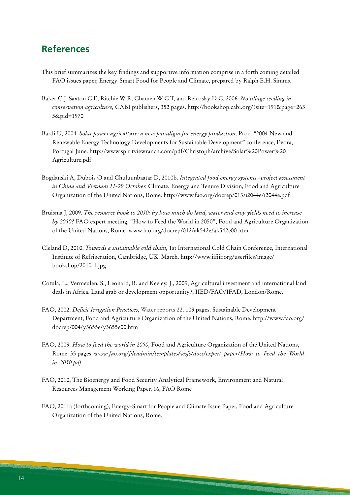# **References**

- This brief summarizes the key findings and supportive information comprise in a forth coming detailed FAO issues paper, Energy-Smart Food for People and Climate, prepared by Ralph E.H. Simms.
- Baker C J, Saxton C E, Ritchie W R, Chamen W C T, and Reicosky D C, 2006. *No tillage seeding in conservation agriculture,* CABI publishers, 352 pages. http://bookshop.cabi.org/?site=191&page=263 3&pid=1970
- Bardi U, 2004. Solar power agriculture: a new paradigm for energy production, Proc. "2004 New and Renewable Energy Technology Developments for Sustainable Development" conference, Evora, Portugal June. http://www.spiritviewranch.com/pdf/Christoph/archive/Solar%20Power%20 Agriculture.pdf
- Bogdanski A, Dubois O and Chuluunbaatar D, 2010b. *Integrated food energy systems –project assessment in China and Vietnam 11-29 October.* Climate, Energy and Tenure Division, Food and Agriculture Organization of the United Nations, Rome. http://www.fao.org/docrep/013/i2044e/i2044e.pdf
- Bruisma J, 2009. *The resource book to 2050: by how much do land, water and crop yields need to increase by 2050?* FAO expert meeting, "How to Feed the World in 2050", Food and Agriculture Organization of the United Nations, Rome. www.fao.org/docrep/012/ak542e/ak542e00.htm
- Cleland D, 2010. *Towards a sustainable cold chain,* 1st International Cold Chain Conference, International Institute of Refrigeration, Cambridge, UK. March. http://www.iifiir.org/userfiles/image/ bookshop/2010-1.jpg
- Cotula, L., Vermeulen, S., Leonard, R. and Keeley, J., 2009, Agricultural investment and international land deals in Africa. Land grab or development opportunity?, IIED/FAO/IFAD, London/Rome.
- FAO, 2002. *Deficit Irrigation Practices,* Water reports 22. 109 pages. Sustainable Development Department, Food and Agriculture Organization of the United Nations, Rome. http://www.fao.org/ docrep/004/y3655e/y3655e00.htm
- FAO, 2009. *How to feed the world in 2050,* Food and Agriculture Organization of the United Nations, Rome. 35 pages. *www.fao.org/fileadmin/templates/wsfs/docs/expert\_paper/How\_to\_Feed\_the\_World\_ in\_2050.pdf*
- FAO, 2010, The Bioenergy and Food Security Analytical Framework, Environment and Natural Resources Management Working Paper, 16, FAO Rome
- FAO, 2011a (forthcoming), Energy-Smart for People and Climate Issue Paper, Food and Agriculture Organization of the United Nations, Rome.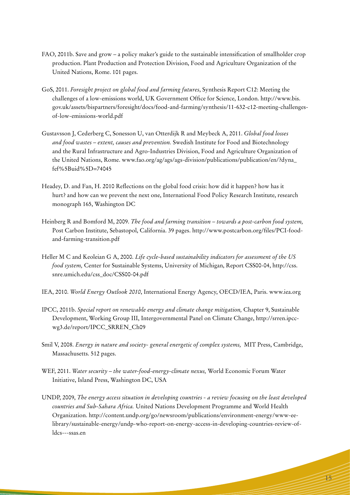- FAO, 2011b. Save and grow a policy maker's guide to the sustainable intensification of smallholder crop production. Plant Production and Protection Division, Food and Agriculture Organization of the United Nations, Rome. 101 pages.
- GoS, 2011. *Foresight project on global food and farming futures*, Synthesis Report C12: Meeting the challenges of a low-emissions world, UK Government Office for Science, London. http://www.bis. gov.uk/assets/bispartners/foresight/docs/food-and-farming/synthesis/11-632-c12-meeting-challengesof-low-emissions-world.pdf
- Gustavsson J, Cederberg C, Sonesson U, van Otterdijk R and Meybeck A, 2011. *Global food losses and food wastes – extent, causes and prevention.* Swedish Institute for Food and Biotechnology and the Rural Infrastructure and Agro-Industries Division, Food and Agriculture Organization of the United Nations, Rome. www.fao.org/ag/ags/ags-division/publications/publication/en/?dyna\_ fef%5Buid%5D=74045
- Headey, D. and Fan, H. 2010 Reflections on the global food crisis: how did it happen? how has it hurt? and how can we prevent the next one, International Food Policy Research Institute, research monograph 165, Washington DC
- Heinberg R and Bomford M, 2009. *The food and farming transition towards a post-carbon food system,*  Post Carbon Institute, Sebastopol, California. 39 pages. http://www.postcarbon.org/files/PCI-foodand-farming-transition.pdf
- Heller M C and Keoleian G A, 2000. *Life cycle-based sustainability indicators for assessment of the US food system,* Center for Sustainable Systems, University of Michigan, Report CSS00-04, http://css. snre.umich.edu/css\_doc/CSS00-04.pdf
- IEA, 2010. *World Energy Outlook 2010*, International Energy Agency, OECD/IEA, Paris. www.iea.org
- IPCC, 2011b. *Special report on renewable energy and climate change mitigation,* Chapter 9, Sustainable Development, Working Group III, Intergovernmental Panel on Climate Change, http://srren.ipccwg3.de/report/IPCC\_SRREN\_Ch09
- Smil V, 2008. *Energy in nature and society- general energetic of complex systems,* MIT Press, Cambridge, Massachusetts. 512 pages.
- WEF, 2011. *Water security the water-food-energy-climate nexus,* World Economic Forum Water Initiative, Island Press, Washington DC, USA
- UNDP, 2009, *The energy access situation in developing countries a review focusing on the least developed countries and Sub-Sahara Africa.* United Nations Development Programme and World Health Organization. http://content.undp.org/go/newsroom/publications/environment-energy/www-eelibrary/sustainable-energy/undp-who-report-on-energy-access-in-developing-countries-review-ofldcs---ssas.en